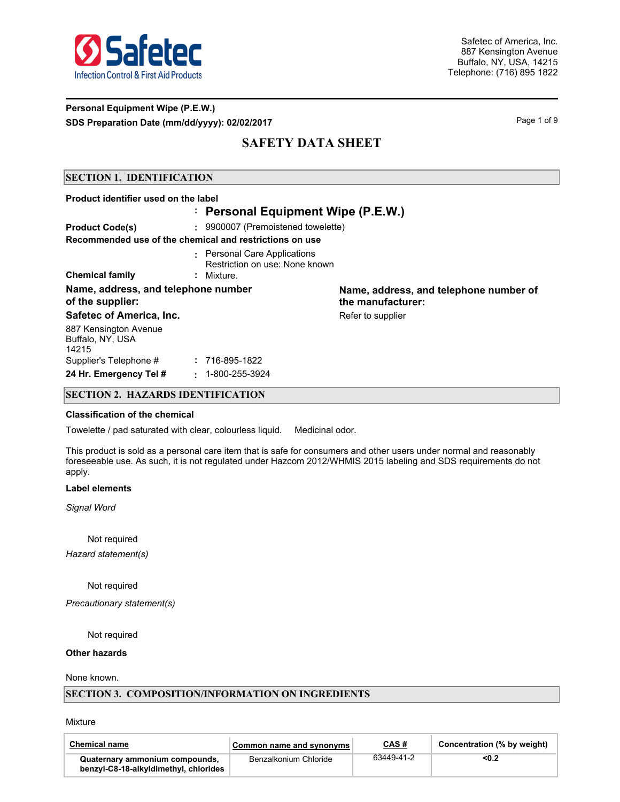

## **Personal Equipment Wipe (P.E.W.) SDS Preparation Date (mm/dd/yyyy): 02/02/2017** Page 1 of 9

# **SAFETY DATA SHEET**

### **SECTION 1. IDENTIFICATION**

### **Product identifier used on the label Personal Equipment Wipe (P.E.W.) : Product Code(s) :** 9900007 (Premoistened towelette) Personal Care Applications **:** Restriction on use: None known **Recommended use of the chemical and restrictions on use Chemical family :** Mixture. **Name, address, and telephone number of the supplier: Name, address, and telephone number of the manufacturer: Safetec of America, Inc.** The Contract of America, Inc. **Reference America** Refer to supplier 887 Kensington Avenue Buffalo, NY, USA 14215 Supplier's Telephone # **:** 716-895-1822 **24 Hr. Emergency Tel # :** 1-800-255-3924

#### **SECTION 2. HAZARDS IDENTIFICATION**

#### **Classification of the chemical**

Towelette / pad saturated with clear, colourless liquid. Medicinal odor.

This product is sold as a personal care item that is safe for consumers and other users under normal and reasonably foreseeable use. As such, it is not regulated under Hazcom 2012/WHMIS 2015 labeling and SDS requirements do not apply.

#### **Label elements**

*Signal Word*

Not required

*Hazard statement(s)*

Not required

*Precautionary statement(s)*

Not required

#### **Other hazards**

None known.

#### **SECTION 3. COMPOSITION/INFORMATION ON INGREDIENTS**

Mixture

| <b>Chemical name</b>                                                    | Common name and synonyms | CAS#       | Concentration (% by weight) |
|-------------------------------------------------------------------------|--------------------------|------------|-----------------------------|
| Quaternary ammonium compounds,<br>benzyl-C8-18-alkyldimethyl, chlorides | Benzalkonium Chloride    | 63449-41-2 | <0.2                        |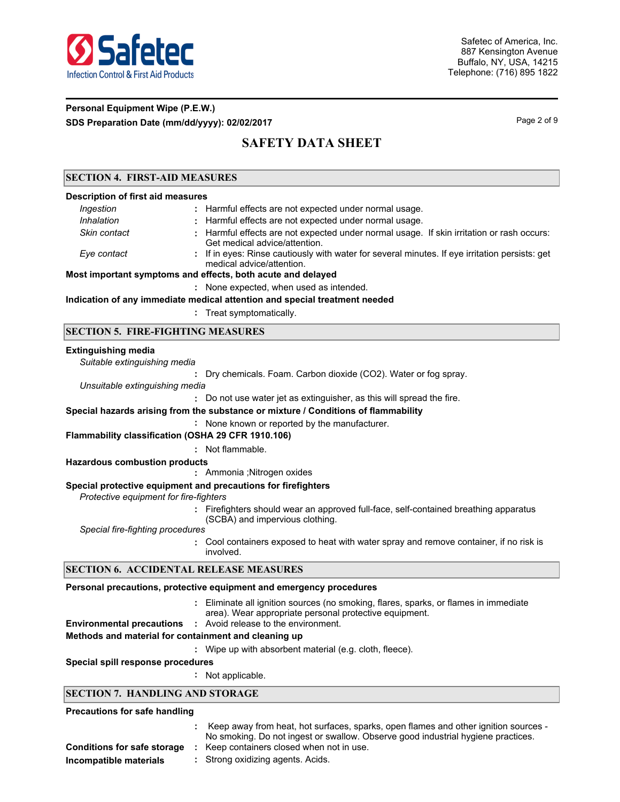

## **Personal Equipment Wipe (P.E.W.) SDS Preparation Date (mm/dd/yyyy): 02/02/2017** Page 2 of 9

# **SAFETY DATA SHEET**

## **SECTION 4. FIRST-AID MEASURES**

| <u>эрсттон 7. гимэт-дир инжирске</u> э   |                                                                                                                             |  |  |  |  |  |
|------------------------------------------|-----------------------------------------------------------------------------------------------------------------------------|--|--|--|--|--|
| <b>Description of first aid measures</b> |                                                                                                                             |  |  |  |  |  |
| Ingestion                                | : Harmful effects are not expected under normal usage.                                                                      |  |  |  |  |  |
| Inhalation                               | : Harmful effects are not expected under normal usage.                                                                      |  |  |  |  |  |
| Skin contact                             | : Harmful effects are not expected under normal usage. If skin irritation or rash occurs:<br>Get medical advice/attention.  |  |  |  |  |  |
| Eye contact                              | : If in eyes: Rinse cautiously with water for several minutes. If eye irritation persists: get<br>medical advice/attention. |  |  |  |  |  |
|                                          | Most important symptoms and effects, both acute and delayed                                                                 |  |  |  |  |  |
|                                          | : None expected, when used as intended.                                                                                     |  |  |  |  |  |
|                                          |                                                                                                                             |  |  |  |  |  |

**Indication of any immediate medical attention and special treatment needed**

**:** Treat symptomatically.

### **SECTION 5. FIRE-FIGHTING MEASURES**

### **Extinguishing media**

| Suitable extinguishing media                         |                                                                                                                                                   |
|------------------------------------------------------|---------------------------------------------------------------------------------------------------------------------------------------------------|
|                                                      | Dry chemicals. Foam. Carbon dioxide (CO2). Water or fog spray.                                                                                    |
| Unsuitable extinguishing media                       |                                                                                                                                                   |
|                                                      | : Do not use water jet as extinguisher, as this will spread the fire.                                                                             |
|                                                      | Special hazards arising from the substance or mixture / Conditions of flammability                                                                |
|                                                      | : None known or reported by the manufacturer.                                                                                                     |
| Flammability classification (OSHA 29 CFR 1910.106)   |                                                                                                                                                   |
|                                                      | : Not flammable.                                                                                                                                  |
| <b>Hazardous combustion products</b>                 |                                                                                                                                                   |
|                                                      | : Ammonia ; Nitrogen oxides                                                                                                                       |
| Protective equipment for fire-fighters               | Special protective equipment and precautions for firefighters                                                                                     |
|                                                      | : Firefighters should wear an approved full-face, self-contained breathing apparatus<br>(SCBA) and impervious clothing.                           |
| Special fire-fighting procedures                     |                                                                                                                                                   |
|                                                      | : Cool containers exposed to heat with water spray and remove container, if no risk is<br>involved.                                               |
| <b>SECTION 6. ACCIDENTAL RELEASE MEASURES</b>        |                                                                                                                                                   |
|                                                      | Personal precautions, protective equipment and emergency procedures                                                                               |
|                                                      | Eliminate all ignition sources (no smoking, flares, sparks, or flames in immediate<br>÷<br>area). Wear appropriate personal protective equipment. |
|                                                      | <b>Environmental precautions :</b> Avoid release to the environment.                                                                              |
| Methods and material for containment and cleaning up |                                                                                                                                                   |

**:** Wipe up with absorbent material (e.g. cloth, fleece).

#### **Special spill response procedures**

**:** Not applicable.

### **SECTION 7. HANDLING AND STORAGE**

#### **Precautions for safe handling**

|                                    | Keep away from heat, hot surfaces, sparks, open flames and other ignition sources -<br>No smoking. Do not ingest or swallow. Observe good industrial hygiene practices. |
|------------------------------------|-------------------------------------------------------------------------------------------------------------------------------------------------------------------------|
| <b>Conditions for safe storage</b> | Keep containers closed when not in use.                                                                                                                                 |
| Incompatible materials             | Strong oxidizing agents. Acids.                                                                                                                                         |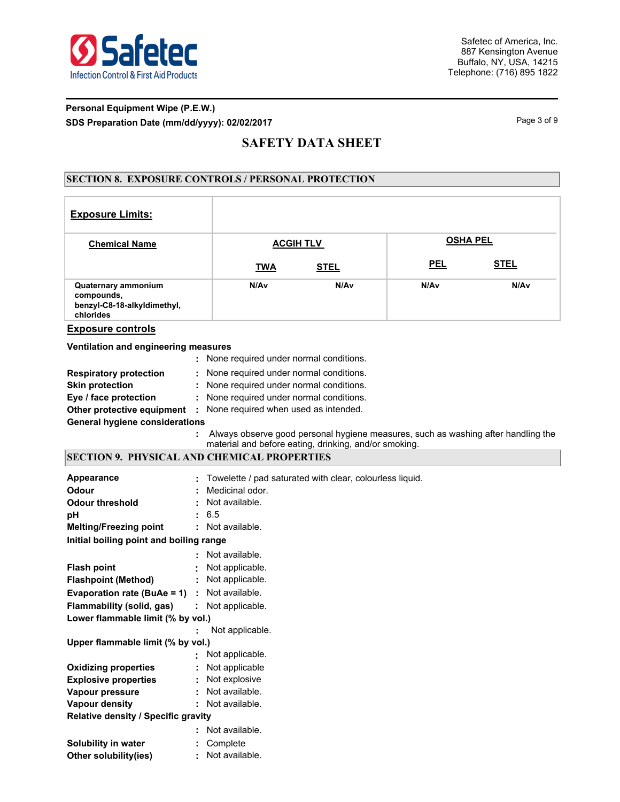

## **Personal Equipment Wipe (P.E.W.) SDS Preparation Date (mm/dd/yyyy): 02/02/2017** Page 3 of 9

## **SAFETY DATA SHEET**

## **SECTION 8. EXPOSURE CONTROLS / PERSONAL PROTECTION**

| <b>Exposure Limits:</b>                                                              |                                                                                   |             |                 |             |  |  |  |
|--------------------------------------------------------------------------------------|-----------------------------------------------------------------------------------|-------------|-----------------|-------------|--|--|--|
| <b>Chemical Name</b>                                                                 | <b>ACGIH TLV</b>                                                                  |             | <b>OSHA PEL</b> |             |  |  |  |
|                                                                                      | <b>TWA</b>                                                                        | <b>STEL</b> | <b>PEL</b>      | <u>STEL</u> |  |  |  |
| <b>Quaternary ammonium</b><br>compounds,<br>benzyl-C8-18-alkyldimethyl,<br>chlorides | N/Av                                                                              | N/Av        | N/Av            | N/Av        |  |  |  |
| <b>Exposure controls</b>                                                             |                                                                                   |             |                 |             |  |  |  |
| Ventilation and engineering measures                                                 |                                                                                   |             |                 |             |  |  |  |
|                                                                                      | : None required under normal conditions.                                          |             |                 |             |  |  |  |
| <b>Respiratory protection</b>                                                        | None required under normal conditions.                                            |             |                 |             |  |  |  |
| <b>Skin protection</b>                                                               | None required under normal conditions.                                            |             |                 |             |  |  |  |
| Eye / face protection                                                                | : None required under normal conditions.                                          |             |                 |             |  |  |  |
| Other protective equipment : None required when used as intended.                    |                                                                                   |             |                 |             |  |  |  |
| <b>General hygiene considerations</b>                                                |                                                                                   |             |                 |             |  |  |  |
|                                                                                      | Always observe good personal hygiene measures, such as washing after handling the |             |                 |             |  |  |  |
|                                                                                      | material and before eating, drinking, and/or smoking.                             |             |                 |             |  |  |  |
| <b>SECTION 9. PHYSICAL AND CHEMICAL PROPERTIES</b>                                   |                                                                                   |             |                 |             |  |  |  |
| <b>Appearance</b>                                                                    | Towelette / pad saturated with clear, colourless liquid.                          |             |                 |             |  |  |  |
| Odour                                                                                | Medicinal odor.                                                                   |             |                 |             |  |  |  |
| <b>Odour threshold</b>                                                               | Not available.                                                                    |             |                 |             |  |  |  |
| pH                                                                                   | 6.5                                                                               |             |                 |             |  |  |  |
| <b>Melting/Freezing point</b>                                                        | : Not available.                                                                  |             |                 |             |  |  |  |
| Initial boiling point and boiling range                                              |                                                                                   |             |                 |             |  |  |  |
|                                                                                      | Not available.                                                                    |             |                 |             |  |  |  |
| <b>Flash point</b>                                                                   | Not applicable.                                                                   |             |                 |             |  |  |  |
| <b>Flashpoint (Method)</b>                                                           | Not applicable.                                                                   |             |                 |             |  |  |  |
| <b>Evaporation rate (BuAe = 1)</b>                                                   | Not available.                                                                    |             |                 |             |  |  |  |
| <b>Flammability (solid, gas)</b>                                                     | : Not applicable.                                                                 |             |                 |             |  |  |  |
| Lower flammable limit (% by vol.)                                                    |                                                                                   |             |                 |             |  |  |  |
|                                                                                      | Not applicable.                                                                   |             |                 |             |  |  |  |
| Upper flammable limit (% by vol.)                                                    |                                                                                   |             |                 |             |  |  |  |
|                                                                                      | Not applicable.                                                                   |             |                 |             |  |  |  |
| <b>Oxidizing properties</b>                                                          | Not applicable                                                                    |             |                 |             |  |  |  |
| <b>Explosive properties</b><br>Vapour pressure                                       | Not explosive<br>Not available.                                                   |             |                 |             |  |  |  |
| <b>Vapour density</b>                                                                |                                                                                   |             |                 |             |  |  |  |
|                                                                                      |                                                                                   |             |                 |             |  |  |  |
|                                                                                      | Not available.                                                                    |             |                 |             |  |  |  |
| Relative density / Specific gravity                                                  |                                                                                   |             |                 |             |  |  |  |
| Solubility in water                                                                  | Not available.<br>Complete                                                        |             |                 |             |  |  |  |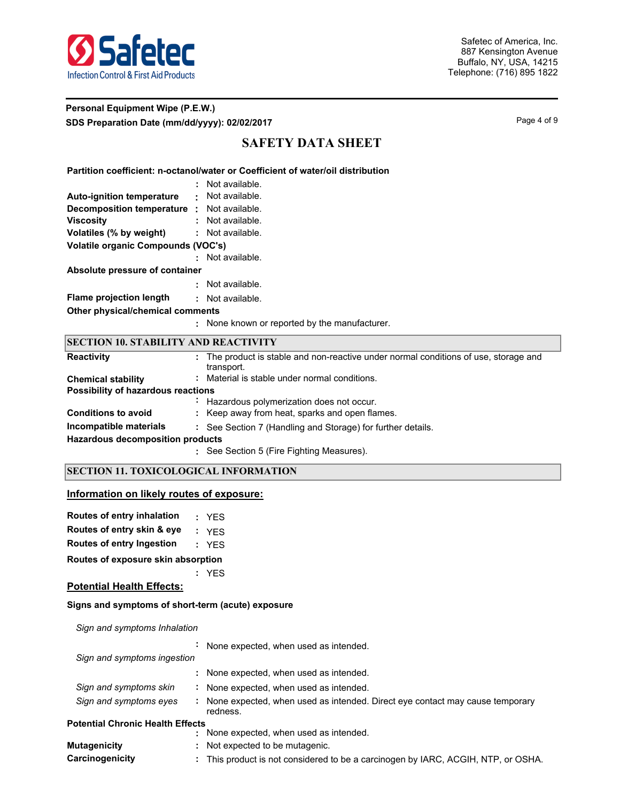

## **Personal Equipment Wipe (P.E.W.) SDS Preparation Date (mm/dd/yyyy): 02/02/2017** Page 4 of 9

# **SAFETY DATA SHEET**

#### **Partition coefficient: n-octanol/water or Coefficient of water/oil distribution**

|                                           |   | Not available. |  |  |  |  |
|-------------------------------------------|---|----------------|--|--|--|--|
| <b>Auto-ignition temperature</b>          | ٠ | Not available. |  |  |  |  |
| <b>Decomposition temperature</b>          | ÷ | Not available. |  |  |  |  |
| <b>Viscosity</b>                          |   | Not available. |  |  |  |  |
| Volatiles (% by weight)                   |   | Not available. |  |  |  |  |
| <b>Volatile organic Compounds (VOC's)</b> |   |                |  |  |  |  |
|                                           |   | Not available. |  |  |  |  |
| Absolute pressure of container            |   |                |  |  |  |  |
|                                           |   | Not available. |  |  |  |  |
| <b>Flame projection length</b>            | ٠ | Not available. |  |  |  |  |
| Other physical/chemical comments          |   |                |  |  |  |  |

**:** None known or reported by the manufacturer.

| <b>SECTION 10. STABILITY AND REACTIVITY</b> |                                                                                                  |  |  |  |  |  |  |
|---------------------------------------------|--------------------------------------------------------------------------------------------------|--|--|--|--|--|--|
| <b>Reactivity</b>                           | The product is stable and non-reactive under normal conditions of use, storage and<br>transport. |  |  |  |  |  |  |
| <b>Chemical stability</b>                   | : Material is stable under normal conditions.                                                    |  |  |  |  |  |  |
|                                             | Possibility of hazardous reactions                                                               |  |  |  |  |  |  |
|                                             | Hazardous polymerization does not occur.                                                         |  |  |  |  |  |  |
| <b>Conditions to avoid</b>                  | : Keep away from heat, sparks and open flames.                                                   |  |  |  |  |  |  |
| Incompatible materials                      | : See Section 7 (Handling and Storage) for further details.                                      |  |  |  |  |  |  |
| <b>Hazardous decomposition products</b>     |                                                                                                  |  |  |  |  |  |  |
|                                             | : See Section 5 (Fire Fighting Measures).                                                        |  |  |  |  |  |  |

### **SECTION 11. TOXICOLOGICAL INFORMATION**

#### **Information on likely routes of exposure:**

| Routes of entry inhalation | : YES |
|----------------------------|-------|
| Routes of entry skin & eye | : YFS |

|  |  | Bernard of color because the |  |  |  | - -- - |  |
|--|--|------------------------------|--|--|--|--------|--|

**Routes of entry Ingestion :** YES

**Routes of exposure skin absorption**

**:** YES

#### **Potential Health Effects:**

#### **Signs and symptoms of short-term (acute) exposure**

*Sign and symptoms Inhalation*

|                                         | $\blacksquare$ | None expected, when used as intended.                                                      |
|-----------------------------------------|----------------|--------------------------------------------------------------------------------------------|
| Sign and symptoms ingestion             |                |                                                                                            |
|                                         |                | : None expected, when used as intended.                                                    |
| Sign and symptoms skin                  |                | : None expected, when used as intended.                                                    |
| Sign and symptoms eyes                  |                | : None expected, when used as intended. Direct eye contact may cause temporary<br>redness. |
| <b>Potential Chronic Health Effects</b> |                |                                                                                            |
|                                         | ÷              | None expected, when used as intended.                                                      |
| <b>Mutagenicity</b>                     |                | : Not expected to be mutagenic.                                                            |

**Carcinogenicity :** This product is not considered to be a carcinogen by IARC, ACGIH, NTP, or OSHA.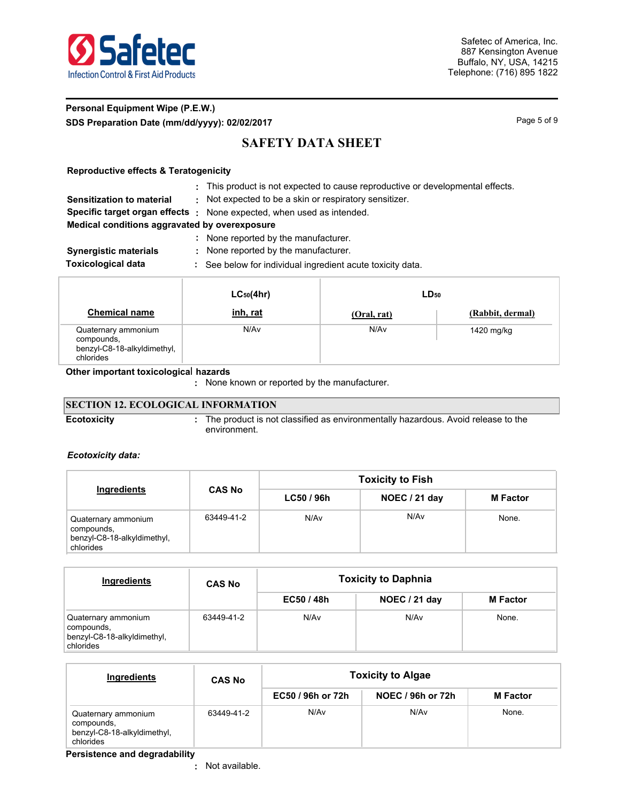

## **Personal Equipment Wipe (P.E.W.) SDS Preparation Date (mm/dd/yyyy): 02/02/2017** Page 1 and the state of 9 Page 5 of 9

# **SAFETY DATA SHEET**

### **Reproductive effects & Teratogenicity**

**:** This product is not expected to cause reproductive or developmental effects.

**Sensitization to material :** Not expected to be a skin or respiratory sensitizer.

**Specific target organ effects :** None expected, when used as intended.

### **Medical conditions aggravated by overexposure**

**:** None reported by the manufacturer. **Synergistic materials :** None reported by the manufacturer.

- 
- **Toxicological data :** See below for individual ingredient acute toxicity data.

|                                                                               | $LC_{50}(4hr)$ | $LD_{50}$   |                  |
|-------------------------------------------------------------------------------|----------------|-------------|------------------|
| <b>Chemical name</b>                                                          | inh, rat       | (Oral, rat) | (Rabbit, dermal) |
| Quaternary ammonium<br>compounds,<br>benzyl-C8-18-alkyldimethyl,<br>chlorides | N/Av           | N/Av        | 1420 mg/kg       |

#### **Other important toxicologica**l **hazards**

**:** None known or reported by the manufacturer.

## **SECTION 12. ECOLOGICAL INFORMATION**

**Ecotoxicity :**

The product is not classified as environmentally hazardous. Avoid release to the environment.

### *Ecotoxicity data:*

|                                                                               |               | <b>Toxicity to Fish</b> |                  |                 |  |  |  |
|-------------------------------------------------------------------------------|---------------|-------------------------|------------------|-----------------|--|--|--|
| Ingredients                                                                   | <b>CAS No</b> | LC50 / 96h              | NOEC / 21 day    | <b>M</b> Factor |  |  |  |
| Quaternary ammonium<br>compounds,<br>benzyl-C8-18-alkyldimethyl,<br>chlorides | 63449-41-2    | N/A <sub>v</sub>        | N/A <sub>v</sub> | None.           |  |  |  |

| Ingredients                                                                   | <b>CAS No</b> | <b>Toxicity to Daphnia</b> |               |                 |  |  |
|-------------------------------------------------------------------------------|---------------|----------------------------|---------------|-----------------|--|--|
|                                                                               |               | EC50/48h                   | NOEC / 21 day | <b>M</b> Factor |  |  |
| Quaternary ammonium<br>compounds,<br>benzyl-C8-18-alkyldimethyl,<br>chlorides | 63449-41-2    | N/Av                       | N/Av          | None.           |  |  |

| Ingredients                                                                   | <b>CAS No</b> | <b>Toxicity to Algae</b> |                          |                 |  |  |
|-------------------------------------------------------------------------------|---------------|--------------------------|--------------------------|-----------------|--|--|
|                                                                               |               | EC50 / 96h or 72h        | <b>NOEC / 96h or 72h</b> | <b>M</b> Factor |  |  |
| Quaternary ammonium<br>compounds,<br>benzyl-C8-18-alkyldimethyl,<br>chlorides | 63449-41-2    | N/Av                     | N/Av                     | None.           |  |  |

**Persistence and degradability**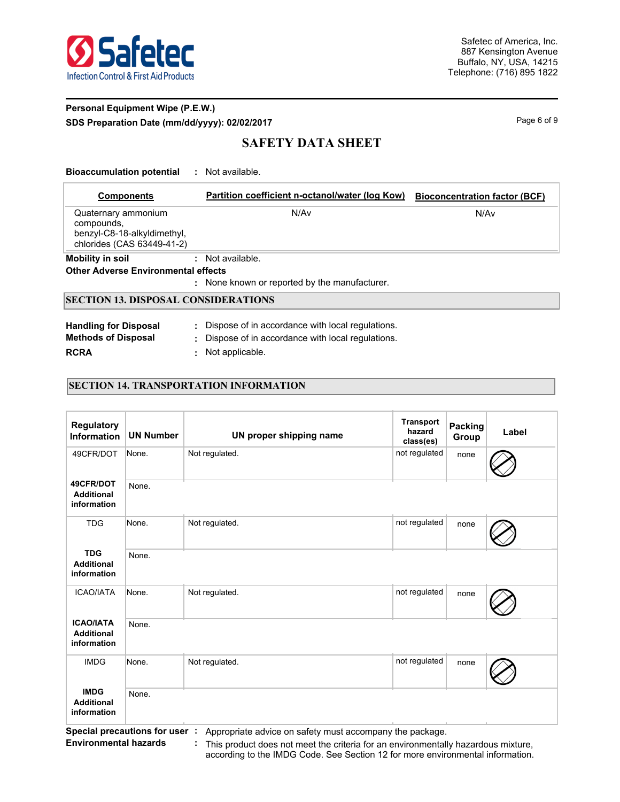

## **Personal Equipment Wipe (P.E.W.) SDS Preparation Date (mm/dd/yyyy): 02/02/2017** Page 6 of 9

# **SAFETY DATA SHEET**

#### **Bioaccumulation potential :** Not available.

| <b>Components</b>                                                                              | Partition coefficient n-octanol/water (log Kow) |      |  |  |  |  |  |  |
|------------------------------------------------------------------------------------------------|-------------------------------------------------|------|--|--|--|--|--|--|
| Quaternary ammonium<br>compounds,<br>benzyl-C8-18-alkyldimethyl,<br>chlorides (CAS 63449-41-2) | N/Av                                            | N/Av |  |  |  |  |  |  |
| <b>Mobility in soil</b>                                                                        | $:$ Not available.                              |      |  |  |  |  |  |  |
| <b>Other Adverse Environmental effects</b>                                                     |                                                 |      |  |  |  |  |  |  |
| : None known or reported by the manufacturer.                                                  |                                                 |      |  |  |  |  |  |  |
| <b>SECTION 13. DISPOSAL CONSIDERATIONS</b>                                                     |                                                 |      |  |  |  |  |  |  |
|                                                                                                |                                                 |      |  |  |  |  |  |  |

| <b>Handling for Disposal</b> | : Dispose of in accordance with local regulations. |
|------------------------------|----------------------------------------------------|
| <b>Methods of Disposal</b>   | : Dispose of in accordance with local regulations. |
| <b>RCRA</b>                  | Not applicable.                                    |

### **SECTION 14. TRANSPORTATION INFORMATION**

| <b>Regulatory</b><br><b>Information</b>              | <b>UN Number</b> | UN proper shipping name | <b>Transport</b><br>hazard<br>class(es) | <b>Packing</b><br>Group | Label |
|------------------------------------------------------|------------------|-------------------------|-----------------------------------------|-------------------------|-------|
| 49CFR/DOT                                            | None.            | Not regulated.          | not regulated                           | none                    |       |
| 49CFR/DOT<br><b>Additional</b><br>information        | None.            |                         |                                         |                         |       |
| <b>TDG</b>                                           | None.            | Not regulated.          | not regulated                           | none                    |       |
| <b>TDG</b><br><b>Additional</b><br>information       | None.            |                         |                                         |                         |       |
| <b>ICAO/IATA</b>                                     | None.            | Not regulated.          | not regulated                           | none                    |       |
| <b>ICAO/IATA</b><br><b>Additional</b><br>information | None.            |                         |                                         |                         |       |
| <b>IMDG</b>                                          | None.            | Not regulated.          | not regulated                           | none                    |       |
| <b>IMDG</b><br><b>Additional</b><br>information      | None.            |                         |                                         |                         |       |

**Special precautions for user :** Appropriate advice on safety must accompany the package.

**Environmental hazards : This product does not meet the criteria for an environmentally hazardous mixture,** according to the IMDG Code. See Section 12 for more environmental information.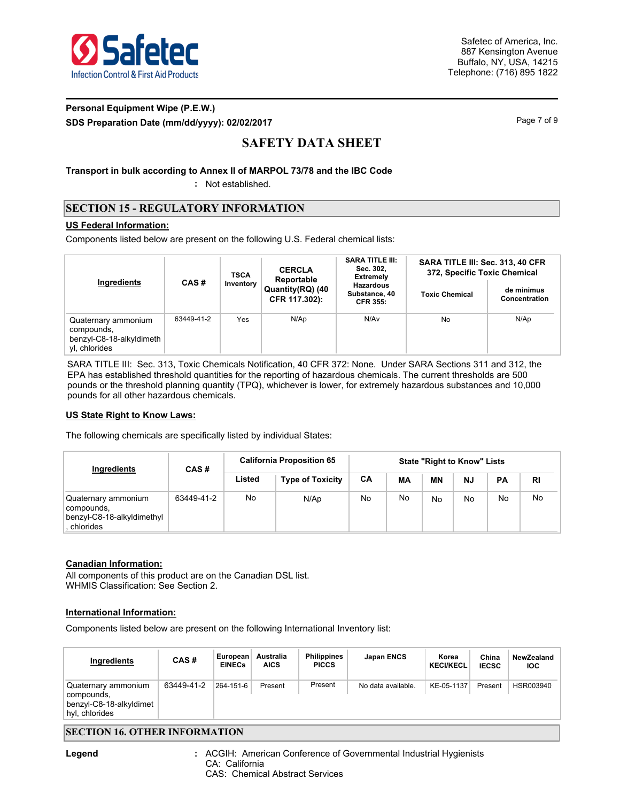

## **Personal Equipment Wipe (P.E.W.) SDS Preparation Date (mm/dd/yyyy): 02/02/2017** Page 7 of 9

# **SAFETY DATA SHEET**

**Transport in bulk according to Annex II of MARPOL 73/78 and the IBC Code**

**:** Not established.

## **SECTION 15 - REGULATORY INFORMATION**

### **US Federal Information:**

Components listed below are present on the following U.S. Federal chemical lists:

| Ingredients                                                                    | CAS#       | <b>TSCA</b><br>Inventory | <b>CERCLA</b><br>Reportable       | <b>SARA TITLE III:</b><br>Sec. 302,<br><b>Extremely</b> | SARA TITLE III: Sec. 313, 40 CFR<br>372, Specific Toxic Chemical |                             |  |
|--------------------------------------------------------------------------------|------------|--------------------------|-----------------------------------|---------------------------------------------------------|------------------------------------------------------------------|-----------------------------|--|
|                                                                                |            |                          | Quantity(RQ) (40<br>CFR 117.302): | <b>Hazardous</b><br>Substance, 40<br><b>CFR 355:</b>    | <b>Toxic Chemical</b>                                            | de minimus<br>Concentration |  |
| Quaternary ammonium<br>compounds,<br>benzyl-C8-18-alkyldimeth<br>vl. chlorides | 63449-41-2 | Yes                      | N/Ap                              | N/Av                                                    | No                                                               | N/Ap                        |  |

SARA TITLE III: Sec. 313, Toxic Chemicals Notification, 40 CFR 372: None. Under SARA Sections 311 and 312, the EPA has established threshold quantities for the reporting of hazardous chemicals. The current thresholds are 500 pounds or the threshold planning quantity (TPQ), whichever is lower, for extremely hazardous substances and 10,000 pounds for all other hazardous chemicals.

### **US State Right to Know Laws:**

The following chemicals are specifically listed by individual States:

| Ingredients                                                                    | CAS#       | <b>California Proposition 65</b> |                         | <b>State "Right to Know" Lists</b> |    |     |           |           |    |
|--------------------------------------------------------------------------------|------------|----------------------------------|-------------------------|------------------------------------|----|-----|-----------|-----------|----|
|                                                                                |            | Listed                           | <b>Type of Toxicity</b> | CA                                 | МA | ΜN  | <b>NJ</b> | <b>PA</b> | RI |
| Quaternary ammonium<br>compounds,<br>benzyl-C8-18-alkyldimethyl<br>. chlorides | 63449-41-2 | No                               | N/Ap                    | No                                 | No | No. | No        | No        | No |

### **Canadian Information:**

All components of this product are on the Canadian DSL list. WHMIS Classification: See Section 2.

### **International Information:**

Components listed below are present on the following International Inventory list:

| Ingredients                                                                    | CAS#       | European<br><b>EINECs</b> | Australia<br><b>AICS</b> | <b>Philippines</b><br><b>PICCS</b> | <b>Japan ENCS</b>  | Korea<br><b>KECI/KECL</b> | China<br><b>IECSC</b> | NewZealand<br><b>IOC</b> |
|--------------------------------------------------------------------------------|------------|---------------------------|--------------------------|------------------------------------|--------------------|---------------------------|-----------------------|--------------------------|
| Quaternary ammonium<br>compounds,<br>benzyl-C8-18-alkyldimet<br>hyl, chlorides | 63449-41-2 | 264-151-6                 | Present                  | Present                            | No data available. | KE-05-1137                | Present               | HSR003940                |

## **SECTION 16. OTHER INFORMATION**

ACGIH: American Conference of Governmental Industrial Hygienists CA: California CAS: Chemical Abstract Services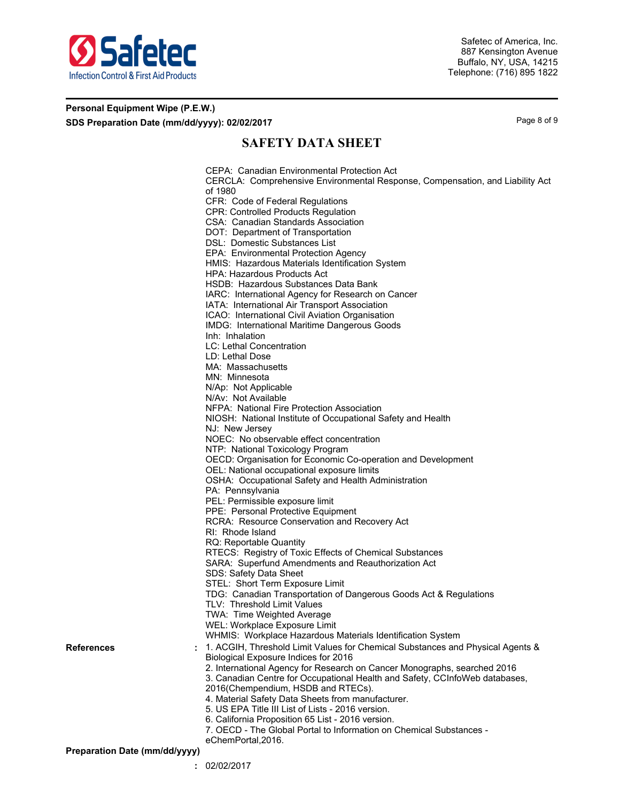

### **Personal Equipment Wipe (P.E.W.) SDS Preparation Date (mm/dd/yyyy): 02/02/2017** Page 8 of 9

# **SAFETY DATA SHEET**

CEPA: Canadian Environmental Protection Act CERCLA: Comprehensive Environmental Response, Compensation, and Liability Act of 1980 CFR: Code of Federal Regulations CPR: Controlled Products Regulation CSA: Canadian Standards Association DOT: Department of Transportation DSL: Domestic Substances List EPA: Environmental Protection Agency HMIS: Hazardous Materials Identification System HPA: Hazardous Products Act HSDB: Hazardous Substances Data Bank IARC: International Agency for Research on Cancer IATA: International Air Transport Association ICAO: International Civil Aviation Organisation IMDG: International Maritime Dangerous Goods Inh: Inhalation LC: Lethal Concentration LD: Lethal Dose MA: Massachusetts MN: Minnesota N/Ap: Not Applicable N/Av: Not Available NFPA: National Fire Protection Association NIOSH: National Institute of Occupational Safety and Health NJ: New Jersey NOEC: No observable effect concentration NTP: National Toxicology Program OECD: Organisation for Economic Co-operation and Development OEL: National occupational exposure limits OSHA: Occupational Safety and Health Administration PA: Pennsylvania PEL: Permissible exposure limit PPE: Personal Protective Equipment RCRA: Resource Conservation and Recovery Act RI: Rhode Island RQ: Reportable Quantity RTECS: Registry of Toxic Effects of Chemical Substances SARA: Superfund Amendments and Reauthorization Act SDS: Safety Data Sheet STEL: Short Term Exposure Limit TDG: Canadian Transportation of Dangerous Goods Act & Regulations TLV: Threshold Limit Values TWA: Time Weighted Average WEL: Workplace Exposure Limit WHMIS: Workplace Hazardous Materials Identification System 1. ACGIH, Threshold Limit Values for Chemical Substances and Physical Agents & Biological Exposure Indices for 2016 2. International Agency for Research on Cancer Monographs, searched 2016 3. Canadian Centre for Occupational Health and Safety, CCInfoWeb databases, 2016(Chempendium, HSDB and RTECs). 4. Material Safety Data Sheets from manufacturer. 5. US EPA Title III List of Lists - 2016 version. 6. California Proposition 65 List - 2016 version. 7. OECD - The Global Portal to Information on Chemical Substances eChemPortal,2016.

**Preparation Date (mm/dd/yyyy)**

**References :**

**:** 02/02/2017